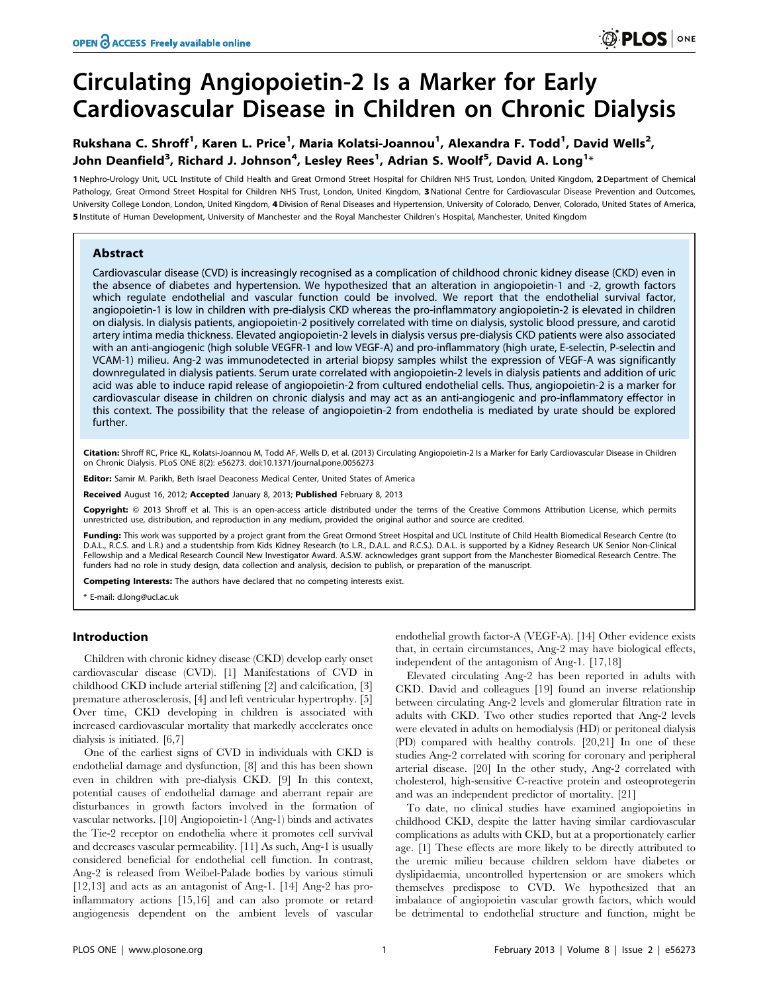# Circulating Angiopoietin-2 Is a Marker for Early Cardiovascular Disease in Children on Chronic Dialysis

## Rukshana C. Shroff<sup>1</sup>, Karen L. Price<sup>1</sup>, Maria Kolatsi-Joannou<sup>1</sup>, Alexandra F. Todd<sup>1</sup>, David Wells<sup>2</sup>, John Deanfield $^3$ , Richard J. Johnson $^4$ , Lesley Rees $^1$ , Adrian S. Woolf $^5$ , David A. Long $^{1_\ast}$

1 Nephro-Urology Unit, UCL Institute of Child Health and Great Ormond Street Hospital for Children NHS Trust, London, United Kingdom, 2 Department of Chemical Pathology, Great Ormond Street Hospital for Children NHS Trust, London, United Kingdom, 3 National Centre for Cardiovascular Disease Prevention and Outcomes, University College London, London, United Kingdom, 4Division of Renal Diseases and Hypertension, University of Colorado, Denver, Colorado, United States of America, 5 Institute of Human Development, University of Manchester and the Royal Manchester Children's Hospital, Manchester, United Kingdom

## Abstract

Cardiovascular disease (CVD) is increasingly recognised as a complication of childhood chronic kidney disease (CKD) even in the absence of diabetes and hypertension. We hypothesized that an alteration in angiopoietin-1 and -2, growth factors which regulate endothelial and vascular function could be involved. We report that the endothelial survival factor, angiopoietin-1 is low in children with pre-dialysis CKD whereas the pro-inflammatory angiopoietin-2 is elevated in children on dialysis. In dialysis patients, angiopoietin-2 positively correlated with time on dialysis, systolic blood pressure, and carotid artery intima media thickness. Elevated angiopoietin-2 levels in dialysis versus pre-dialysis CKD patients were also associated with an anti-angiogenic (high soluble VEGFR-1 and low VEGF-A) and pro-inflammatory (high urate, E-selectin, P-selectin and VCAM-1) milieu. Ang-2 was immunodetected in arterial biopsy samples whilst the expression of VEGF-A was significantly downregulated in dialysis patients. Serum urate correlated with angiopoietin-2 levels in dialysis patients and addition of uric acid was able to induce rapid release of angiopoietin-2 from cultured endothelial cells. Thus, angiopoietin-2 is a marker for cardiovascular disease in children on chronic dialysis and may act as an anti-angiogenic and pro-inflammatory effector in this context. The possibility that the release of angiopoietin-2 from endothelia is mediated by urate should be explored further.

Citation: Shroff RC, Price KL, Kolatsi-Joannou M, Todd AF, Wells D, et al. (2013) Circulating Angiopoietin-2 Is a Marker for Early Cardiovascular Disease in Children on Chronic Dialysis. PLoS ONE 8(2): e56273. doi:10.1371/journal.pone.0056273

Editor: Samir M. Parikh, Beth Israel Deaconess Medical Center, United States of America

Received August 16, 2012; Accepted January 8, 2013; Published February 8, 2013

Copyright: © 2013 Shroff et al. This is an open-access article distributed under the terms of the Creative Commons Attribution License, which permits unrestricted use, distribution, and reproduction in any medium, provided the original author and source are credited.

Funding: This work was supported by a project grant from the Great Ormond Street Hospital and UCL Institute of Child Health Biomedical Research Centre (to D.A.L., R.C.S. and L.R.) and a studentship from Kids Kidney Research (to L.R., D.A.L. and R.C.S.). D.A.L. is supported by a Kidney Research UK Senior Non-Clinical Fellowship and a Medical Research Council New Investigator Award. A.S.W. acknowledges grant support from the Manchester Biomedical Research Centre. The funders had no role in study design, data collection and analysis, decision to publish, or preparation of the manuscript.

Competing Interests: The authors have declared that no competing interests exist.

\* E-mail: d.long@ucl.ac.uk

## Introduction

Children with chronic kidney disease (CKD) develop early onset cardiovascular disease (CVD). [1] Manifestations of CVD in childhood CKD include arterial stiffening [2] and calcification, [3] premature atherosclerosis, [4] and left ventricular hypertrophy. [5] Over time, CKD developing in children is associated with increased cardiovascular mortality that markedly accelerates once dialysis is initiated. [6,7]

One of the earliest signs of CVD in individuals with CKD is endothelial damage and dysfunction, [8] and this has been shown even in children with pre-dialysis CKD. [9] In this context, potential causes of endothelial damage and aberrant repair are disturbances in growth factors involved in the formation of vascular networks. [10] Angiopoietin-1 (Ang-1) binds and activates the Tie-2 receptor on endothelia where it promotes cell survival and decreases vascular permeability. [11] As such, Ang-1 is usually considered beneficial for endothelial cell function. In contrast, Ang-2 is released from Weibel-Palade bodies by various stimuli [12,13] and acts as an antagonist of Ang-1. [14] Ang-2 has proinflammatory actions [15,16] and can also promote or retard angiogenesis dependent on the ambient levels of vascular

endothelial growth factor-A (VEGF-A). [14] Other evidence exists that, in certain circumstances, Ang-2 may have biological effects, independent of the antagonism of Ang-1. [17,18]

Elevated circulating Ang-2 has been reported in adults with CKD. David and colleagues [19] found an inverse relationship between circulating Ang-2 levels and glomerular filtration rate in adults with CKD. Two other studies reported that Ang-2 levels were elevated in adults on hemodialysis (HD) or peritoneal dialysis (PD) compared with healthy controls. [20,21] In one of these studies Ang-2 correlated with scoring for coronary and peripheral arterial disease. [20] In the other study, Ang-2 correlated with cholesterol, high-sensitive C-reactive protein and osteoprotegerin and was an independent predictor of mortality. [21]

To date, no clinical studies have examined angiopoietins in childhood CKD, despite the latter having similar cardiovascular complications as adults with CKD, but at a proportionately earlier age. [1] These effects are more likely to be directly attributed to the uremic milieu because children seldom have diabetes or dyslipidaemia, uncontrolled hypertension or are smokers which themselves predispose to CVD. We hypothesized that an imbalance of angiopoietin vascular growth factors, which would be detrimental to endothelial structure and function, might be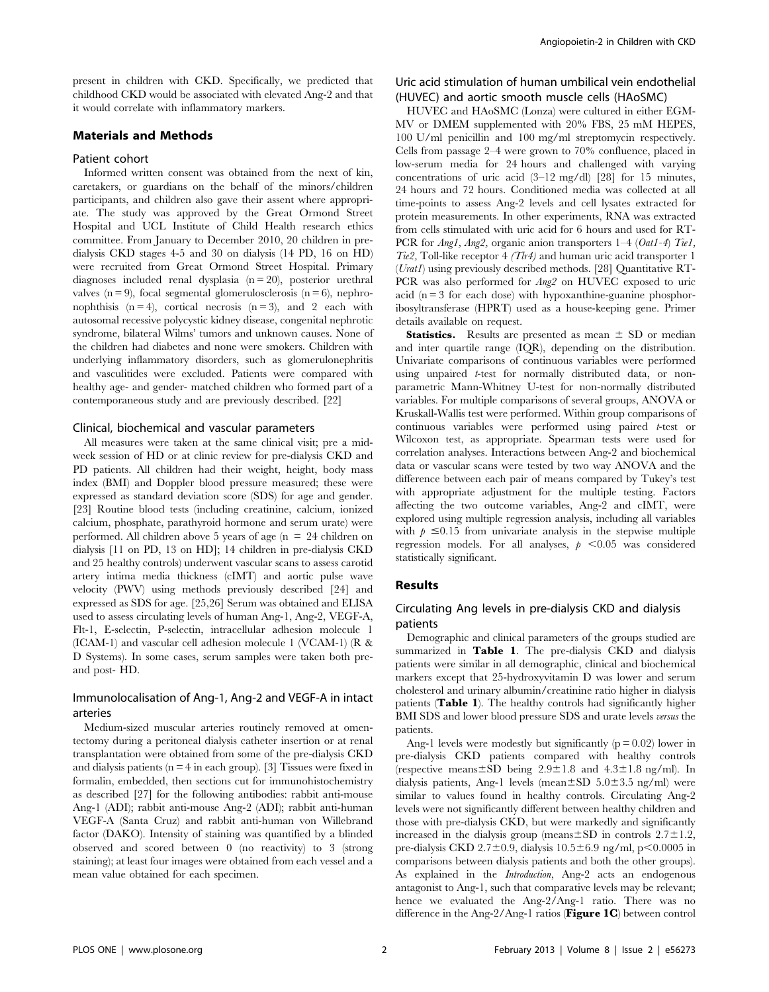present in children with CKD. Specifically, we predicted that childhood CKD would be associated with elevated Ang-2 and that it would correlate with inflammatory markers.

## Materials and Methods

### Patient cohort

Informed written consent was obtained from the next of kin, caretakers, or guardians on the behalf of the minors/children participants, and children also gave their assent where appropriate. The study was approved by the Great Ormond Street Hospital and UCL Institute of Child Health research ethics committee. From January to December 2010, 20 children in predialysis CKD stages 4-5 and 30 on dialysis (14 PD, 16 on HD) were recruited from Great Ormond Street Hospital. Primary diagnoses included renal dysplasia (n = 20), posterior urethral valves ( $n = 9$ ), focal segmental glomerulosclerosis ( $n = 6$ ), nephronophthisis  $(n = 4)$ , cortical necrosis  $(n = 3)$ , and 2 each with autosomal recessive polycystic kidney disease, congenital nephrotic syndrome, bilateral Wilms' tumors and unknown causes. None of the children had diabetes and none were smokers. Children with underlying inflammatory disorders, such as glomerulonephritis and vasculitides were excluded. Patients were compared with healthy age- and gender- matched children who formed part of a contemporaneous study and are previously described. [22]

#### Clinical, biochemical and vascular parameters

All measures were taken at the same clinical visit; pre a midweek session of HD or at clinic review for pre-dialysis CKD and PD patients. All children had their weight, height, body mass index (BMI) and Doppler blood pressure measured; these were expressed as standard deviation score (SDS) for age and gender. [23] Routine blood tests (including creatinine, calcium, ionized calcium, phosphate, parathyroid hormone and serum urate) were performed. All children above 5 years of age ( $n = 24$  children on dialysis [11 on PD, 13 on HD]; 14 children in pre-dialysis CKD and 25 healthy controls) underwent vascular scans to assess carotid artery intima media thickness (cIMT) and aortic pulse wave velocity (PWV) using methods previously described [24] and expressed as SDS for age. [25,26] Serum was obtained and ELISA used to assess circulating levels of human Ang-1, Ang-2, VEGF-A, Flt-1, E-selectin, P-selectin, intracellular adhesion molecule 1 (ICAM-1) and vascular cell adhesion molecule 1 (VCAM-1) (R & D Systems). In some cases, serum samples were taken both preand post- HD.

## Immunolocalisation of Ang-1, Ang-2 and VEGF-A in intact arteries

Medium-sized muscular arteries routinely removed at omentectomy during a peritoneal dialysis catheter insertion or at renal transplantation were obtained from some of the pre-dialysis CKD and dialysis patients ( $n = 4$  in each group). [3] Tissues were fixed in formalin, embedded, then sections cut for immunohistochemistry as described [27] for the following antibodies: rabbit anti-mouse Ang-1 (ADI); rabbit anti-mouse Ang-2 (ADI); rabbit anti-human VEGF-A (Santa Cruz) and rabbit anti-human von Willebrand factor (DAKO). Intensity of staining was quantified by a blinded observed and scored between 0 (no reactivity) to 3 (strong staining); at least four images were obtained from each vessel and a mean value obtained for each specimen.

## Uric acid stimulation of human umbilical vein endothelial (HUVEC) and aortic smooth muscle cells (HAoSMC)

HUVEC and HAoSMC (Lonza) were cultured in either EGM-MV or DMEM supplemented with 20% FBS, 25 mM HEPES, 100 U/ml penicillin and 100 mg/ml streptomycin respectively. Cells from passage 2–4 were grown to 70% confluence, placed in low-serum media for 24 hours and challenged with varying concentrations of uric acid (3–12 mg/dl) [28] for 15 minutes, 24 hours and 72 hours. Conditioned media was collected at all time-points to assess Ang-2 levels and cell lysates extracted for protein measurements. In other experiments, RNA was extracted from cells stimulated with uric acid for 6 hours and used for RT-PCR for *Ang1*, *Ang2*, organic anion transporters 1–4 (Oat1-4) Tie1,  $Tie2$ , Toll-like receptor 4 (Tlr4) and human uric acid transporter 1 (Urat1) using previously described methods. [28] Quantitative RT-PCR was also performed for  $Ang2$  on HUVEC exposed to uric acid  $(n = 3$  for each dose) with hypoxanthine-guanine phosphoribosyltransferase (HPRT) used as a house-keeping gene. Primer details available on request.

**Statistics.** Results are presented as mean  $\pm$  SD or median and inter quartile range (IQR), depending on the distribution. Univariate comparisons of continuous variables were performed using unpaired *t*-test for normally distributed data, or nonparametric Mann-Whitney U-test for non-normally distributed variables. For multiple comparisons of several groups, ANOVA or Kruskall-Wallis test were performed. Within group comparisons of continuous variables were performed using paired t-test or Wilcoxon test, as appropriate. Spearman tests were used for correlation analyses. Interactions between Ang-2 and biochemical data or vascular scans were tested by two way ANOVA and the difference between each pair of means compared by Tukey's test with appropriate adjustment for the multiple testing. Factors affecting the two outcome variables, Ang-2 and cIMT, were explored using multiple regression analysis, including all variables with  $p \leq 0.15$  from univariate analysis in the stepwise multiple regression models. For all analyses,  $p < 0.05$  was considered statistically significant.

#### Results

## Circulating Ang levels in pre-dialysis CKD and dialysis patients

Demographic and clinical parameters of the groups studied are summarized in Table 1. The pre-dialysis CKD and dialysis patients were similar in all demographic, clinical and biochemical markers except that 25-hydroxyvitamin D was lower and serum cholesterol and urinary albumin/creatinine ratio higher in dialysis patients (Table 1). The healthy controls had significantly higher BMI SDS and lower blood pressure SDS and urate levels versus the patients.

Ang-1 levels were modestly but significantly  $(p = 0.02)$  lower in pre-dialysis CKD patients compared with healthy controls (respective means $\pm$ SD being 2.9 $\pm$ 1.8 and 4.3 $\pm$ 1.8 ng/ml). In dialysis patients, Ang-1 levels (mean $\pm$ SD 5.0 $\pm$ 3.5 ng/ml) were similar to values found in healthy controls. Circulating Ang-2 levels were not significantly different between healthy children and those with pre-dialysis CKD, but were markedly and significantly increased in the dialysis group (means $\pm$ SD in controls 2.7 $\pm$ 1.2, pre-dialysis CKD 2.7 $\pm$ 0.9, dialysis 10.5 $\pm$ 6.9 ng/ml, p $\leq$ 0.0005 in comparisons between dialysis patients and both the other groups). As explained in the *Introduction*, Ang-2 acts an endogenous antagonist to Ang-1, such that comparative levels may be relevant; hence we evaluated the Ang-2/Ang-1 ratio. There was no difference in the Ang-2/Ang-1 ratios (Figure 1C) between control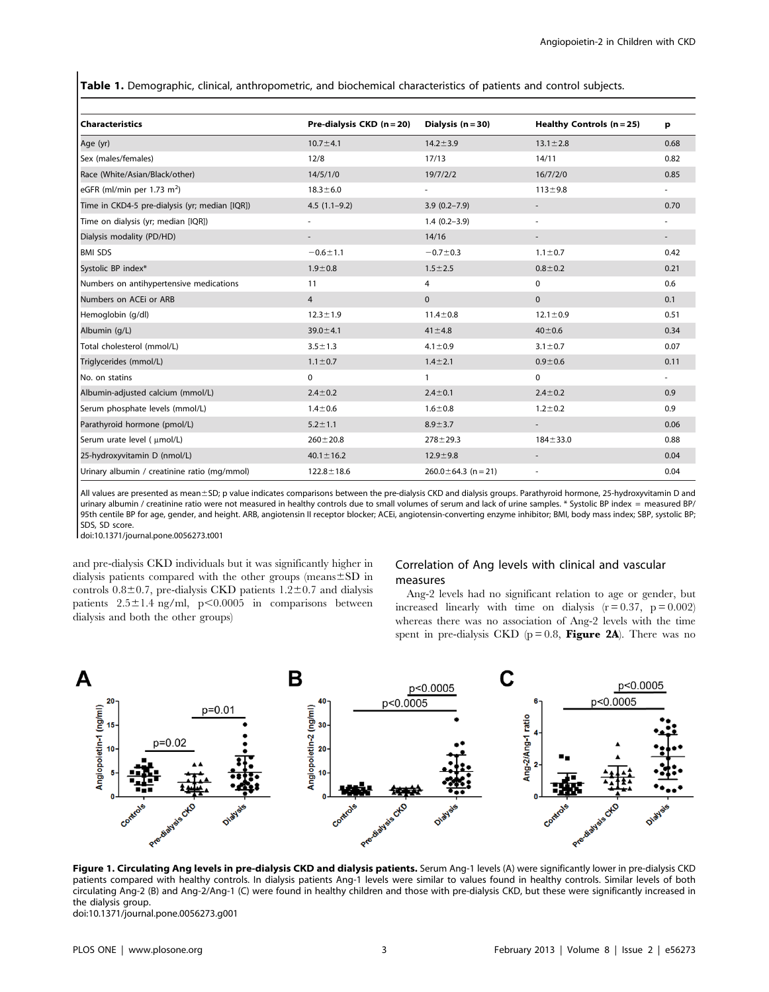Table 1. Demographic, clinical, anthropometric, and biochemical characteristics of patients and control subjects.

| Characteristics                                | Pre-dialysis $CKD$ (n = 20) | Dialysis $(n = 30)$       | Healthy Controls $(n=25)$ | р      |
|------------------------------------------------|-----------------------------|---------------------------|---------------------------|--------|
| Age (yr)                                       | $10.7 + 4.1$                | $14.2 \pm 3.9$            | $13.1 \pm 2.8$            | 0.68   |
| Sex (males/females)                            | 12/8                        | 17/13                     | 14/11                     | 0.82   |
| Race (White/Asian/Black/other)                 | 14/5/1/0                    | 19/7/2/2                  | 16/7/2/0                  | 0.85   |
| eGFR (ml/min per 1.73 m <sup>2</sup> )         | $18.3 \pm 6.0$              | $\overline{\phantom{a}}$  | $113 \pm 9.8$             | $\sim$ |
| Time in CKD4-5 pre-dialysis (yr; median [IQR]) | $4.5(1.1-9.2)$              | $3.9(0.2 - 7.9)$          |                           | 0.70   |
| Time on dialysis (yr; median [IQR])            | $\overline{\phantom{a}}$    | $1.4(0.2 - 3.9)$          | ÷,                        |        |
| Dialysis modality (PD/HD)                      |                             | 14/16                     |                           |        |
| <b>BMI SDS</b>                                 | $-0.6 \pm 1.1$              | $-0.7 + 0.3$              | $1.1 \pm 0.7$             | 0.42   |
| Systolic BP index*                             | $1.9 + 0.8$                 | $1.5 \pm 2.5$             | $0.8 + 0.2$               | 0.21   |
| Numbers on antihypertensive medications        | 11                          | 4                         | $\mathbf 0$               | 0.6    |
| Numbers on ACEI or ARB                         | $\overline{4}$              | $\mathbf{0}$              | $\mathbf{0}$              | 0.1    |
| Hemoglobin (g/dl)                              | $12.3 \pm 1.9$              | $11.4 \pm 0.8$            | $12.1 \pm 0.9$            | 0.51   |
| Albumin (q/L)                                  | $39.0 + 4.1$                | $41 \pm 4.8$              | $40 + 0.6$                | 0.34   |
| Total cholesterol (mmol/L)                     | $3.5 \pm 1.3$               | $4.1 \pm 0.9$             | $3.1 \pm 0.7$             | 0.07   |
| Triglycerides (mmol/L)                         | $1.1 \pm 0.7$               | $1.4 \pm 2.1$             | $0.9 + 0.6$               | 0.11   |
| No. on statins                                 | $\mathbf 0$                 | $\mathbf{1}$              | $\mathbf 0$               |        |
| Albumin-adjusted calcium (mmol/L)              | $2.4 \pm 0.2$               | $2.4 \pm 0.1$             | $2.4 \pm 0.2$             | 0.9    |
| Serum phosphate levels (mmol/L)                | $1.4 + 0.6$                 | $1.6 + 0.8$               | $1.2 \pm 0.2$             | 0.9    |
| Parathyroid hormone (pmol/L)                   | $5.2 \pm 1.1$               | $8.9 \pm 3.7$             | $\overline{\phantom{a}}$  | 0.06   |
| Serum urate level ( umol/L)                    | $260 \pm 20.8$              | $278 + 29.3$              | $184 + 33.0$              | 0.88   |
| 25-hydroxyvitamin D (nmol/L)                   | $40.1 \pm 16.2$             | $12.9 + 9.8$              |                           | 0.04   |
| Urinary albumin / creatinine ratio (mg/mmol)   | $122.8 \pm 18.6$            | $260.0 \pm 64.3$ (n = 21) | $\overline{\phantom{a}}$  | 0.04   |

All values are presented as mean±SD; p value indicates comparisons between the pre-dialysis CKD and dialysis groups. Parathyroid hormone, 25-hydroxyvitamin D and urinary albumin / creatinine ratio were not measured in healthy controls due to small volumes of serum and lack of urine samples. \* Systolic BP index = measured BP/ 95th centile BP for age, gender, and height. ARB, angiotensin II receptor blocker; ACEi, angiotensin-converting enzyme inhibitor; BMI, body mass index; SBP, systolic BP; SDS, SD score.

doi:10.1371/journal.pone.0056273.t001

and pre-dialysis CKD individuals but it was significantly higher in dialysis patients compared with the other groups (means $\pm$ SD in controls  $0.8\pm0.7$ , pre-dialysis CKD patients  $1.2\pm0.7$  and dialysis patients  $2.5 \pm 1.4$  ng/ml, p $\leq 0.0005$  in comparisons between dialysis and both the other groups)

## Correlation of Ang levels with clinical and vascular measures

Ang-2 levels had no significant relation to age or gender, but increased linearly with time on dialysis  $(r = 0.37, p = 0.002)$ whereas there was no association of Ang-2 levels with the time spent in pre-dialysis CKD ( $p = 0.8$ , Figure 2A). There was no



Figure 1. Circulating Ang levels in pre-dialysis CKD and dialysis patients. Serum Ang-1 levels (A) were significantly lower in pre-dialysis CKD patients compared with healthy controls. In dialysis patients Ang-1 levels were similar to values found in healthy controls. Similar levels of both circulating Ang-2 (B) and Ang-2/Ang-1 (C) were found in healthy children and those with pre-dialysis CKD, but these were significantly increased in the dialysis group. doi:10.1371/journal.pone.0056273.g001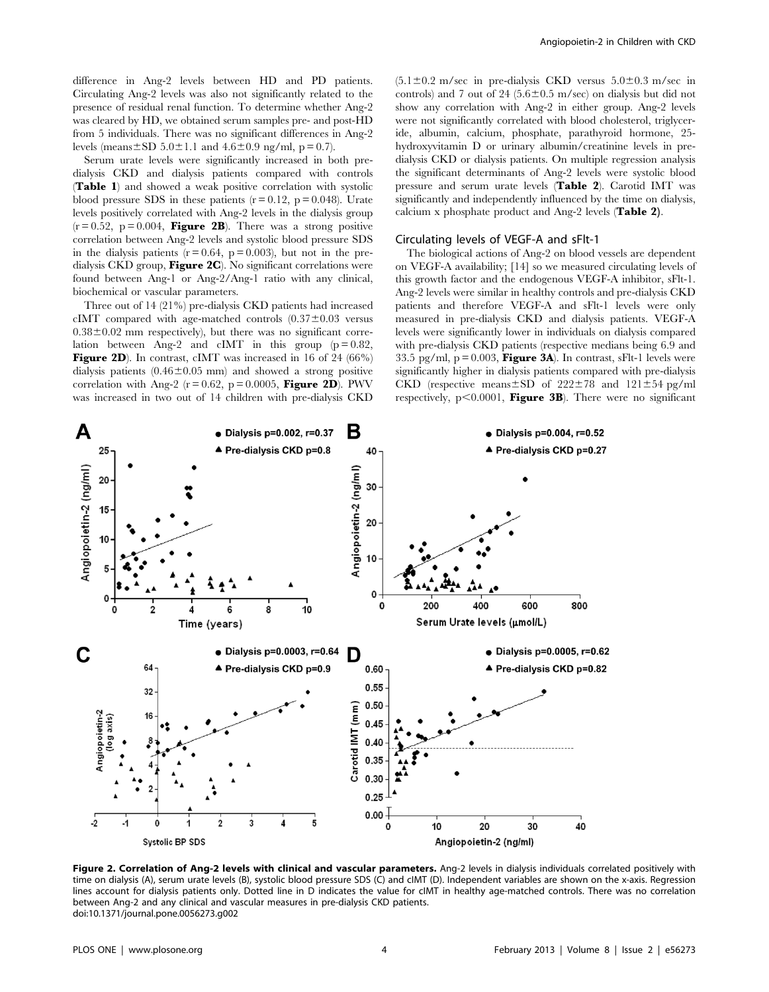difference in Ang-2 levels between HD and PD patients. Circulating Ang-2 levels was also not significantly related to the presence of residual renal function. To determine whether Ang-2 was cleared by HD, we obtained serum samples pre- and post-HD from 5 individuals. There was no significant differences in Ang-2 levels (means $\pm$ SD 5.0 $\pm$ 1.1 and 4.6 $\pm$ 0.9 ng/ml, p = 0.7).

Serum urate levels were significantly increased in both predialysis CKD and dialysis patients compared with controls (Table 1) and showed a weak positive correlation with systolic blood pressure SDS in these patients  $(r = 0.12, p = 0.048)$ . Urate levels positively correlated with Ang-2 levels in the dialysis group  $(r = 0.52, p = 0.004,$  Figure 2B). There was a strong positive correlation between Ang-2 levels and systolic blood pressure SDS in the dialysis patients  $(r = 0.64, p = 0.003)$ , but not in the predialysis CKD group, Figure 2C). No significant correlations were found between Ang-1 or Ang-2/Ang-1 ratio with any clinical, biochemical or vascular parameters.

Three out of 14 (21%) pre-dialysis CKD patients had increased cIMT compared with age-matched controls  $(0.37\pm0.03$  versus  $0.38\pm0.02$  mm respectively), but there was no significant correlation between Ang-2 and cIMT in this group  $(p=0.82)$ , Figure 2D). In contrast, cIMT was increased in 16 of 24 (66%) dialysis patients  $(0.46 \pm 0.05 \text{ mm})$  and showed a strong positive correlation with Ang-2 ( $r = 0.62$ ,  $p = 0.0005$ , **Figure 2D**). PWV was increased in two out of 14 children with pre-dialysis CKD  $(5.1\pm0.2 \text{ m/sec}$  in pre-dialysis CKD versus  $5.0\pm0.3 \text{ m/sec}$  in controls) and 7 out of 24 (5.6 $\pm$ 0.5 m/sec) on dialysis but did not show any correlation with Ang-2 in either group. Ang-2 levels were not significantly correlated with blood cholesterol, triglyceride, albumin, calcium, phosphate, parathyroid hormone, 25 hydroxyvitamin D or urinary albumin/creatinine levels in predialysis CKD or dialysis patients. On multiple regression analysis the significant determinants of Ang-2 levels were systolic blood pressure and serum urate levels (Table 2). Carotid IMT was significantly and independently influenced by the time on dialysis, calcium x phosphate product and Ang-2 levels (Table 2).

#### Circulating levels of VEGF-A and sFlt-1

The biological actions of Ang-2 on blood vessels are dependent on VEGF-A availability; [14] so we measured circulating levels of this growth factor and the endogenous VEGF-A inhibitor, sFlt-1. Ang-2 levels were similar in healthy controls and pre-dialysis CKD patients and therefore VEGF-A and sFlt-1 levels were only measured in pre-dialysis CKD and dialysis patients. VEGF-A levels were significantly lower in individuals on dialysis compared with pre-dialysis CKD patients (respective medians being 6.9 and 33.5 pg/ml,  $p = 0.003$ , **Figure 3A**). In contrast, sFIt-1 levels were significantly higher in dialysis patients compared with pre-dialysis CKD (respective means $\pm$ SD of 222 $\pm$ 78 and 121 $\pm$ 54 pg/ml respectively,  $p<0.0001$ , Figure 3B). There were no significant



Figure 2. Correlation of Ang-2 levels with clinical and vascular parameters. Ang-2 levels in dialysis individuals correlated positively with time on dialysis (A), serum urate levels (B), systolic blood pressure SDS (C) and cIMT (D). Independent variables are shown on the x-axis. Regression lines account for dialysis patients only. Dotted line in D indicates the value for cIMT in healthy age-matched controls. There was no correlation between Ang-2 and any clinical and vascular measures in pre-dialysis CKD patients. doi:10.1371/journal.pone.0056273.g002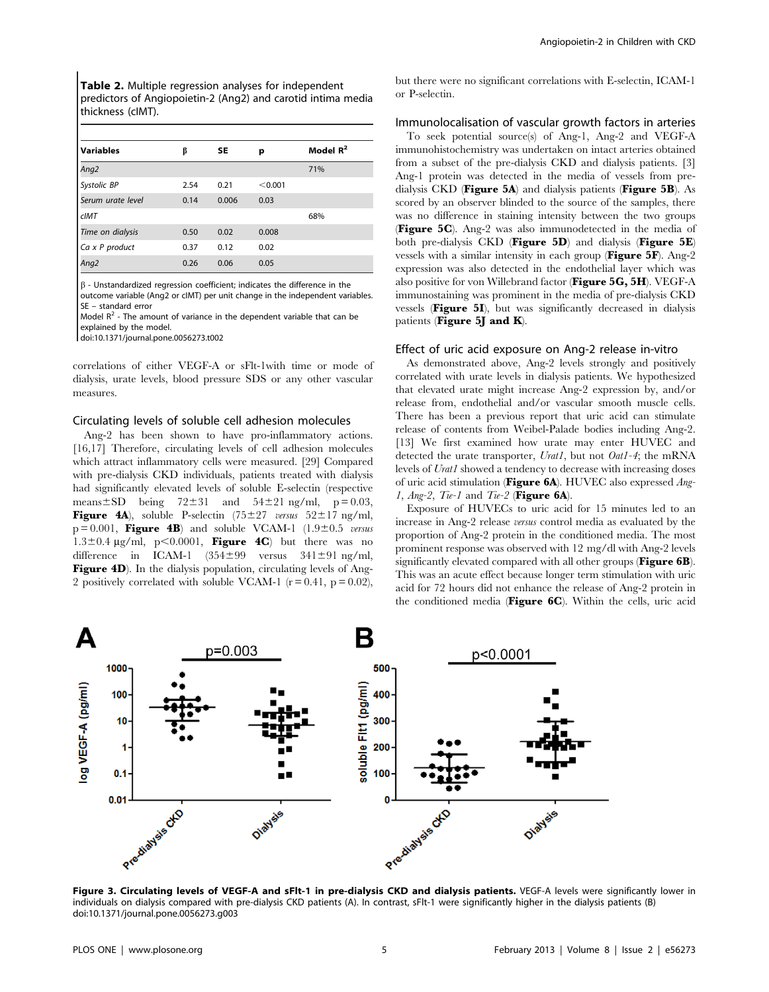Table 2. Multiple regression analyses for independent predictors of Angiopoietin-2 (Ang2) and carotid intima media thickness (cIMT).

| <b>Variables</b>  | β    | SE    | р       | Model $R^2$ |
|-------------------|------|-------|---------|-------------|
| Ang2              |      |       |         | 71%         |
| Systolic BP       | 2.54 | 0.21  | < 0.001 |             |
| Serum urate level | 0.14 | 0.006 | 0.03    |             |
| clMT              |      |       |         | 68%         |
| Time on dialysis  | 0.50 | 0.02  | 0.008   |             |
| Ca x P product    | 0.37 | 0.12  | 0.02    |             |
| Ang2              | 0.26 | 0.06  | 0.05    |             |

 $\beta$  - Unstandardized regression coefficient; indicates the difference in the

outcome variable (Ang2 or cIMT) per unit change in the independent variables. SE – standard error

Model  $R^2$  - The amount of variance in the dependent variable that can be explained by the model.

doi:10.1371/journal.pone.0056273.t002

correlations of either VEGF-A or sFlt-1with time or mode of dialysis, urate levels, blood pressure SDS or any other vascular measures.

#### Circulating levels of soluble cell adhesion molecules

Ang-2 has been shown to have pro-inflammatory actions. [16,17] Therefore, circulating levels of cell adhesion molecules which attract inflammatory cells were measured. [29] Compared with pre-dialysis CKD individuals, patients treated with dialysis had significantly elevated levels of soluble E-selectin (respective means $\pm$ SD being 72 $\pm$ 31 and 54 $\pm$ 21 ng/ml, p = 0.03, **Figure 4A**), soluble P-selectin  $(75 \pm 27 \text{ versus } 52 \pm 17 \text{ ng/ml})$  $p = 0.001$ , Figure 4B) and soluble VCAM-1 (1.9 $\pm$ 0.5 versus  $1.3\pm0.4$  µg/ml, p<0.0001, **Figure 4C**) but there was no difference in ICAM-1  $(354\pm99$  versus  $341\pm91$  ng/ml, Figure 4D). In the dialysis population, circulating levels of Ang-2 positively correlated with soluble VCAM-1 ( $r = 0.41$ ,  $p = 0.02$ ),

but there were no significant correlations with E-selectin, ICAM-1 or P-selectin.

#### Immunolocalisation of vascular growth factors in arteries

To seek potential source(s) of Ang-1, Ang-2 and VEGF-A immunohistochemistry was undertaken on intact arteries obtained from a subset of the pre-dialysis CKD and dialysis patients. [3] Ang-1 protein was detected in the media of vessels from predialysis CKD (Figure 5A) and dialysis patients (Figure 5B). As scored by an observer blinded to the source of the samples, there was no difference in staining intensity between the two groups (Figure 5C). Ang-2 was also immunodetected in the media of both pre-dialysis CKD (Figure 5D) and dialysis (Figure 5E) vessels with a similar intensity in each group (Figure 5F). Ang-2 expression was also detected in the endothelial layer which was also positive for von Willebrand factor (Figure 5G, 5H). VEGF-A immunostaining was prominent in the media of pre-dialysis CKD vessels (Figure 5I), but was significantly decreased in dialysis patients (Figure 5J and K).

#### Effect of uric acid exposure on Ang-2 release in-vitro

As demonstrated above, Ang-2 levels strongly and positively correlated with urate levels in dialysis patients. We hypothesized that elevated urate might increase Ang-2 expression by, and/or release from, endothelial and/or vascular smooth muscle cells. There has been a previous report that uric acid can stimulate release of contents from Weibel-Palade bodies including Ang-2. [13] We first examined how urate may enter HUVEC and detected the urate transporter, Uratl, but not Oatl-4; the mRNA levels of Urat1 showed a tendency to decrease with increasing doses of uric acid stimulation (Figure  $6A$ ). HUVEC also expressed  $Anq$ -1,  $Ang-2$ ,  $Tie-1$  and  $Tie-2$  (**Figure 6A**).

Exposure of HUVECs to uric acid for 15 minutes led to an increase in Ang-2 release versus control media as evaluated by the proportion of Ang-2 protein in the conditioned media. The most prominent response was observed with 12 mg/dl with Ang-2 levels significantly elevated compared with all other groups (Figure 6B). This was an acute effect because longer term stimulation with uric acid for 72 hours did not enhance the release of Ang-2 protein in the conditioned media (Figure 6C). Within the cells, uric acid



Figure 3. Circulating levels of VEGF-A and sFlt-1 in pre-dialysis CKD and dialysis patients. VEGF-A levels were significantly lower in individuals on dialysis compared with pre-dialysis CKD patients (A). In contrast, sFlt-1 were significantly higher in the dialysis patients (B) doi:10.1371/journal.pone.0056273.g003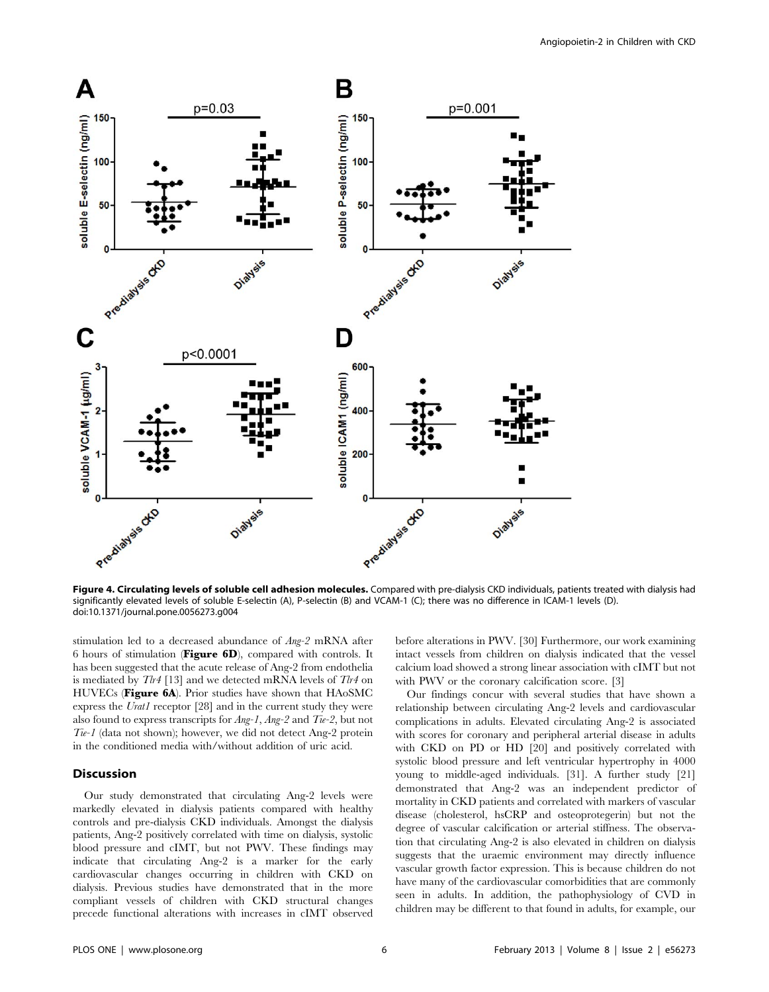



Figure 4. Circulating levels of soluble cell adhesion molecules. Compared with pre-dialysis CKD individuals, patients treated with dialysis had significantly elevated levels of soluble E-selectin (A), P-selectin (B) and VCAM-1 (C); there was no difference in ICAM-1 levels (D). doi:10.1371/journal.pone.0056273.g004

stimulation led to a decreased abundance of Ang-2 mRNA after 6 hours of stimulation (Figure 6D), compared with controls. It has been suggested that the acute release of Ang-2 from endothelia is mediated by  $T\ell r4$  [13] and we detected mRNA levels of  $T\ell r4$  on HUVECs (Figure 6A). Prior studies have shown that HAoSMC express the Uratl receptor [28] and in the current study they were also found to express transcripts for  $Ang-1$ ,  $Ang-2$  and  $Tie-2$ , but not Tie-1 (data not shown); however, we did not detect Ang-2 protein in the conditioned media with/without addition of uric acid.

## Discussion

Our study demonstrated that circulating Ang-2 levels were markedly elevated in dialysis patients compared with healthy controls and pre-dialysis CKD individuals. Amongst the dialysis patients, Ang-2 positively correlated with time on dialysis, systolic blood pressure and cIMT, but not PWV. These findings may indicate that circulating Ang-2 is a marker for the early cardiovascular changes occurring in children with CKD on dialysis. Previous studies have demonstrated that in the more compliant vessels of children with CKD structural changes precede functional alterations with increases in cIMT observed

before alterations in PWV. [30] Furthermore, our work examining intact vessels from children on dialysis indicated that the vessel calcium load showed a strong linear association with cIMT but not with PWV or the coronary calcification score. [3]

Our findings concur with several studies that have shown a relationship between circulating Ang-2 levels and cardiovascular complications in adults. Elevated circulating Ang-2 is associated with scores for coronary and peripheral arterial disease in adults with CKD on PD or HD [20] and positively correlated with systolic blood pressure and left ventricular hypertrophy in 4000 young to middle-aged individuals. [31]. A further study [21] demonstrated that Ang-2 was an independent predictor of mortality in CKD patients and correlated with markers of vascular disease (cholesterol, hsCRP and osteoprotegerin) but not the degree of vascular calcification or arterial stiffness. The observation that circulating Ang-2 is also elevated in children on dialysis suggests that the uraemic environment may directly influence vascular growth factor expression. This is because children do not have many of the cardiovascular comorbidities that are commonly seen in adults. In addition, the pathophysiology of CVD in children may be different to that found in adults, for example, our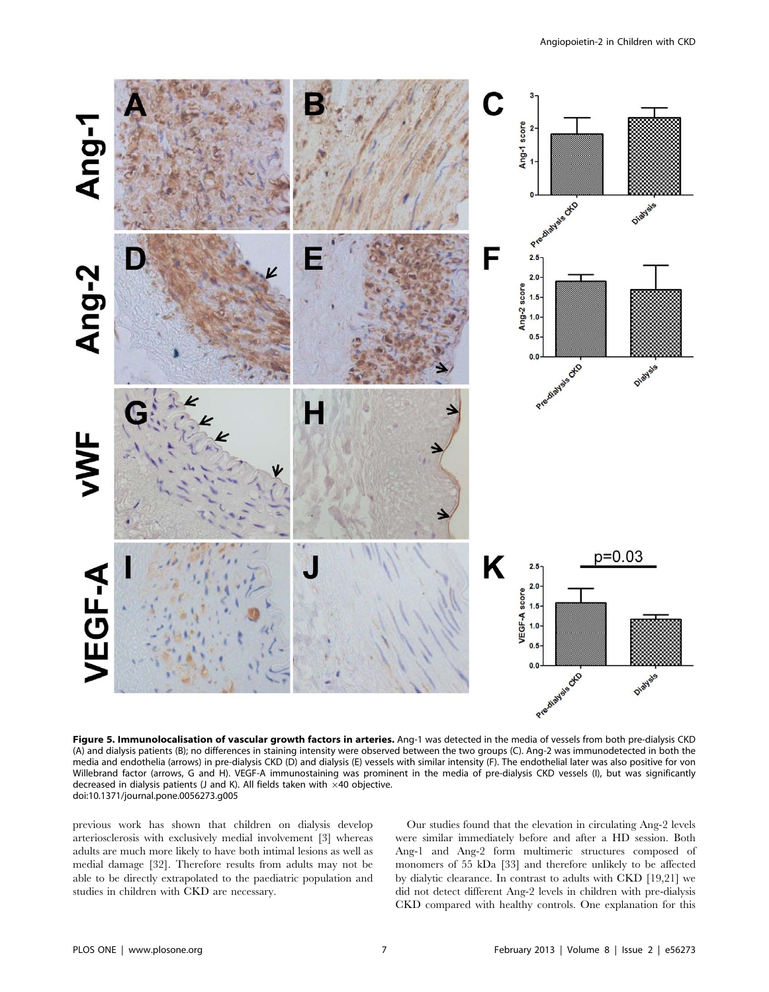

Figure 5. Immunolocalisation of vascular growth factors in arteries. Ang-1 was detected in the media of vessels from both pre-dialysis CKD (A) and dialysis patients (B); no differences in staining intensity were observed between the two groups (C). Ang-2 was immunodetected in both the media and endothelia (arrows) in pre-dialysis CKD (D) and dialysis (E) vessels with similar intensity (F). The endothelial later was also positive for von Willebrand factor (arrows, G and H). VEGF-A immunostaining was prominent in the media of pre-dialysis CKD vessels (I), but was significantly decreased in dialysis patients (J and K). All fields taken with  $\times$ 40 objective. doi:10.1371/journal.pone.0056273.g005

previous work has shown that children on dialysis develop arteriosclerosis with exclusively medial involvement [3] whereas adults are much more likely to have both intimal lesions as well as medial damage [32]. Therefore results from adults may not be able to be directly extrapolated to the paediatric population and studies in children with CKD are necessary.

Our studies found that the elevation in circulating Ang-2 levels were similar immediately before and after a HD session. Both Ang-1 and Ang-2 form multimeric structures composed of monomers of 55 kDa [33] and therefore unlikely to be affected by dialytic clearance. In contrast to adults with CKD [19,21] we did not detect different Ang-2 levels in children with pre-dialysis CKD compared with healthy controls. One explanation for this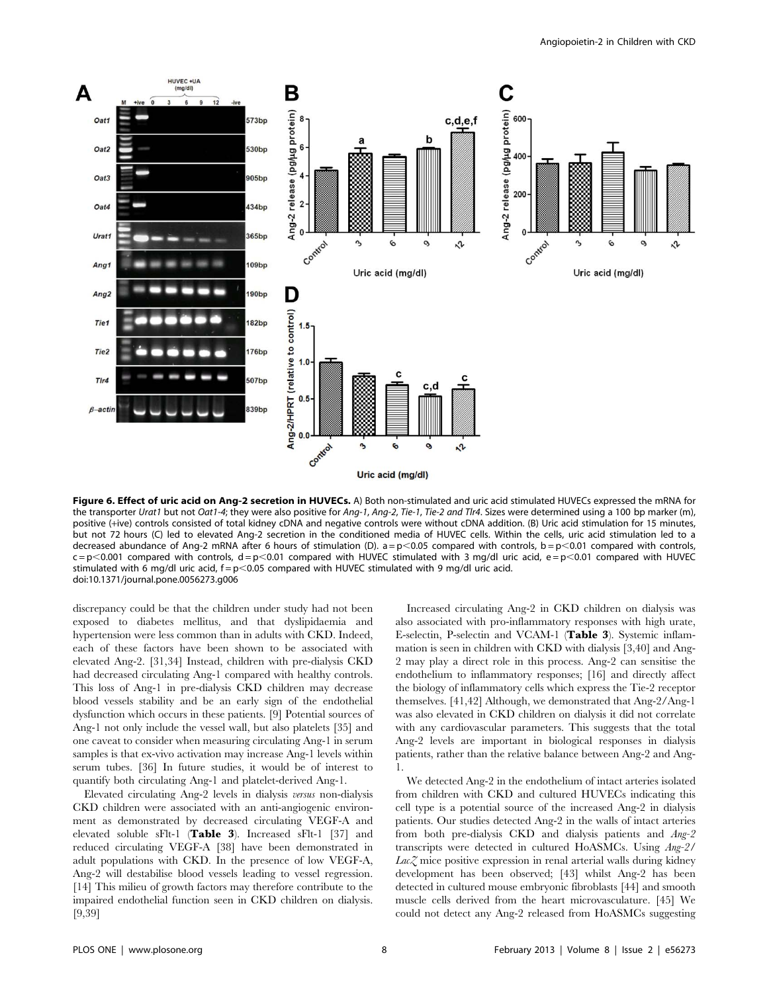

Figure 6. Effect of uric acid on Ang-2 secretion in HUVECs. A) Both non-stimulated and uric acid stimulated HUVECs expressed the mRNA for the transporter Urat1 but not Oat1-4; they were also positive for Ang-1, Ang-2, Tie-1, Tie-2 and Tlr4. Sizes were determined using a 100 bp marker (m), positive (+ive) controls consisted of total kidney cDNA and negative controls were without cDNA addition. (B) Uric acid stimulation for 15 minutes, but not 72 hours (C) led to elevated Ang-2 secretion in the conditioned media of HUVEC cells. Within the cells, uric acid stimulation led to a decreased abundance of Ang-2 mRNA after 6 hours of stimulation (D).  $a = p < 0.05$  compared with controls,  $b = p < 0.01$  compared with controls,  $c = p$ <0.001 compared with controls, d = p<0.01 compared with HUVEC stimulated with 3 mg/dl uric acid, e = p<0.01 compared with HUVEC stimulated with 6 mg/dl uric acid,  $f = p < 0.05$  compared with HUVEC stimulated with 9 mg/dl uric acid. doi:10.1371/journal.pone.0056273.g006

discrepancy could be that the children under study had not been exposed to diabetes mellitus, and that dyslipidaemia and hypertension were less common than in adults with CKD. Indeed, each of these factors have been shown to be associated with elevated Ang-2. [31,34] Instead, children with pre-dialysis CKD had decreased circulating Ang-1 compared with healthy controls. This loss of Ang-1 in pre-dialysis CKD children may decrease blood vessels stability and be an early sign of the endothelial dysfunction which occurs in these patients. [9] Potential sources of Ang-1 not only include the vessel wall, but also platelets [35] and one caveat to consider when measuring circulating Ang-1 in serum samples is that ex-vivo activation may increase Ang-1 levels within serum tubes. [36] In future studies, it would be of interest to quantify both circulating Ang-1 and platelet-derived Ang-1.

Elevated circulating Ang-2 levels in dialysis versus non-dialysis CKD children were associated with an anti-angiogenic environment as demonstrated by decreased circulating VEGF-A and elevated soluble sFlt-1 (Table 3). Increased sFlt-1 [37] and reduced circulating VEGF-A [38] have been demonstrated in adult populations with CKD. In the presence of low VEGF-A, Ang-2 will destabilise blood vessels leading to vessel regression. [14] This milieu of growth factors may therefore contribute to the impaired endothelial function seen in CKD children on dialysis. [9,39]

Increased circulating Ang-2 in CKD children on dialysis was also associated with pro-inflammatory responses with high urate, E-selectin, P-selectin and VCAM-1 (Table 3). Systemic inflammation is seen in children with CKD with dialysis [3,40] and Ang-2 may play a direct role in this process. Ang-2 can sensitise the endothelium to inflammatory responses; [16] and directly affect the biology of inflammatory cells which express the Tie-2 receptor themselves. [41,42] Although, we demonstrated that Ang-2/Ang-1 was also elevated in CKD children on dialysis it did not correlate with any cardiovascular parameters. This suggests that the total Ang-2 levels are important in biological responses in dialysis patients, rather than the relative balance between Ang-2 and Ang-1.

We detected Ang-2 in the endothelium of intact arteries isolated from children with CKD and cultured HUVECs indicating this cell type is a potential source of the increased Ang-2 in dialysis patients. Our studies detected Ang-2 in the walls of intact arteries from both pre-dialysis CKD and dialysis patients and Ang-2 transcripts were detected in cultured HoASMCs. Using Ang-2/  $Lac\mathcal{Z}$  mice positive expression in renal arterial walls during kidney development has been observed; [43] whilst Ang-2 has been detected in cultured mouse embryonic fibroblasts [44] and smooth muscle cells derived from the heart microvasculature. [45] We could not detect any Ang-2 released from HoASMCs suggesting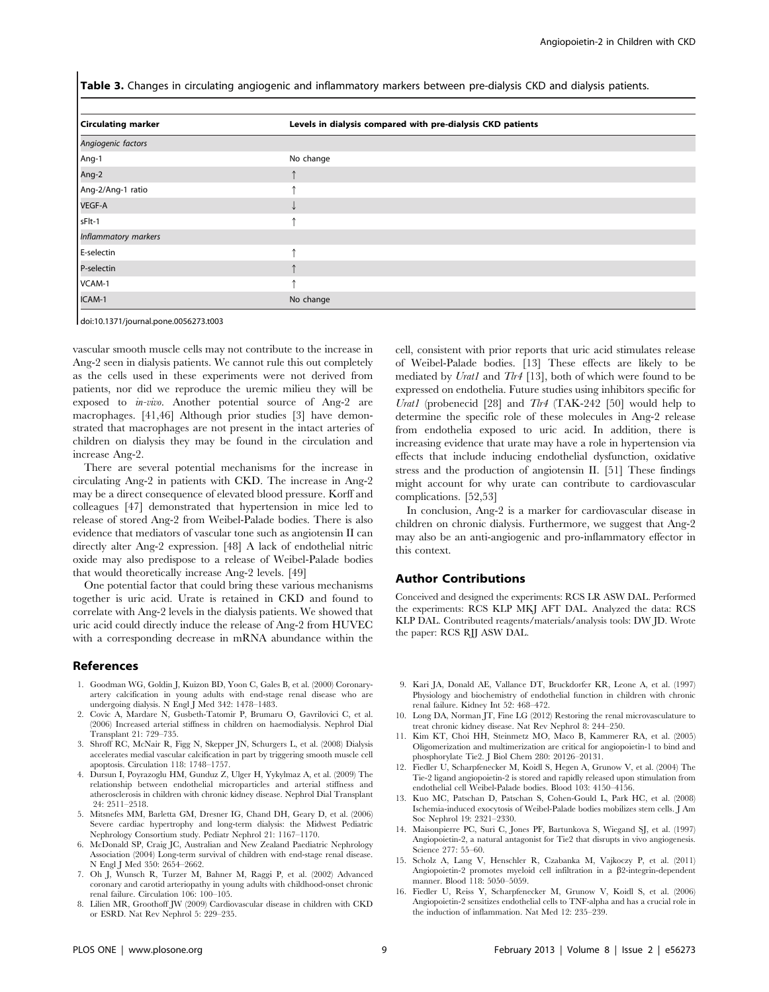Table 3. Changes in circulating angiogenic and inflammatory markers between pre-dialysis CKD and dialysis patients.

| <b>Circulating marker</b> | Levels in dialysis compared with pre-dialysis CKD patients |
|---------------------------|------------------------------------------------------------|
| Angiogenic factors        |                                                            |
| Ang-1                     | No change                                                  |
| Ang-2                     |                                                            |
| Ang-2/Ang-1 ratio         |                                                            |
| VEGF-A                    |                                                            |
| sFlt-1                    |                                                            |
| Inflammatory markers      |                                                            |
| E-selectin                |                                                            |
| P-selectin                |                                                            |
| VCAM-1                    |                                                            |
| ICAM-1                    | No change                                                  |

doi:10.1371/journal.pone.0056273.t003

vascular smooth muscle cells may not contribute to the increase in Ang-2 seen in dialysis patients. We cannot rule this out completely as the cells used in these experiments were not derived from patients, nor did we reproduce the uremic milieu they will be exposed to in-vivo. Another potential source of Ang-2 are macrophages. [41,46] Although prior studies [3] have demonstrated that macrophages are not present in the intact arteries of children on dialysis they may be found in the circulation and increase Ang-2.

There are several potential mechanisms for the increase in circulating Ang-2 in patients with CKD. The increase in Ang-2 may be a direct consequence of elevated blood pressure. Korff and colleagues [47] demonstrated that hypertension in mice led to release of stored Ang-2 from Weibel-Palade bodies. There is also evidence that mediators of vascular tone such as angiotensin II can directly alter Ang-2 expression. [48] A lack of endothelial nitric oxide may also predispose to a release of Weibel-Palade bodies that would theoretically increase Ang-2 levels. [49]

One potential factor that could bring these various mechanisms together is uric acid. Urate is retained in CKD and found to correlate with Ang-2 levels in the dialysis patients. We showed that uric acid could directly induce the release of Ang-2 from HUVEC with a corresponding decrease in mRNA abundance within the

#### References

- 1. Goodman WG, Goldin J, Kuizon BD, Yoon C, Gales B, et al. (2000) Coronaryartery calcification in young adults with end-stage renal disease who are undergoing dialysis. N Engl J Med 342: 1478–1483.
- 2. Covic A, Mardare N, Gusbeth-Tatomir P, Brumaru O, Gavrilovici C, et al. (2006) Increased arterial stiffness in children on haemodialysis. Nephrol Dial Transplant 21: 729–735.
- 3. Shroff RC, McNair R, Figg N, Skepper JN, Schurgers L, et al. (2008) Dialysis accelerates medial vascular calcification in part by triggering smooth muscle cell apoptosis. Circulation 118: 1748–1757.
- 4. Dursun I, Poyrazoglu HM, Gunduz Z, Ulger H, Yykylmaz A, et al. (2009) The relationship between endothelial microparticles and arterial stiffness and atherosclerosis in children with chronic kidney disease. Nephrol Dial Transplant 24: 2511–2518.
- 5. Mitsnefes MM, Barletta GM, Dresner IG, Chand DH, Geary D, et al. (2006) Severe cardiac hypertrophy and long-term dialysis: the Midwest Pediatric Nephrology Consortium study. Pediatr Nephrol 21: 1167–1170.
- 6. McDonald SP, Craig JC, Australian and New Zealand Paediatric Nephrology Association (2004) Long-term survival of children with end-stage renal disease. N Engl J Med 350: 2654–2662.
- 7. Oh J, Wunsch R, Turzer M, Bahner M, Raggi P, et al. (2002) Advanced coronary and carotid arteriopathy in young adults with childhood-onset chronic renal failure. Circulation 106: 100–105.
- 8. Lilien MR, Groothoff JW (2009) Cardiovascular disease in children with CKD or ESRD. Nat Rev Nephrol 5: 229–235.

cell, consistent with prior reports that uric acid stimulates release of Weibel-Palade bodies. [13] These effects are likely to be mediated by Urat1 and Tlr4 [13], both of which were found to be expressed on endothelia. Future studies using inhibitors specific for Urat1 (probenecid [28] and  $T\rightarrow I\rightarrow I$  (TAK-242 [50] would help to determine the specific role of these molecules in Ang-2 release from endothelia exposed to uric acid. In addition, there is increasing evidence that urate may have a role in hypertension via effects that include inducing endothelial dysfunction, oxidative stress and the production of angiotensin II. [51] These findings might account for why urate can contribute to cardiovascular complications. [52,53]

In conclusion, Ang-2 is a marker for cardiovascular disease in children on chronic dialysis. Furthermore, we suggest that Ang-2 may also be an anti-angiogenic and pro-inflammatory effector in this context.

#### Author Contributions

Conceived and designed the experiments: RCS LR ASW DAL. Performed the experiments: RCS KLP MKJ AFT DAL. Analyzed the data: RCS KLP DAL. Contributed reagents/materials/analysis tools: DW JD. Wrote the paper: RCS RJJ ASW DAL.

- 9. Kari JA, Donald AE, Vallance DT, Bruckdorfer KR, Leone A, et al. (1997) Physiology and biochemistry of endothelial function in children with chronic renal failure. Kidney Int 52: 468–472.
- 10. Long DA, Norman JT, Fine LG (2012) Restoring the renal microvasculature to treat chronic kidney disease. Nat Rev Nephrol 8: 244–250.
- 11. Kim KT, Choi HH, Steinmetz MO, Maco B, Kammerer RA, et al. (2005) Oligomerization and multimerization are critical for angiopoietin-1 to bind and phosphorylate Tie2. J Biol Chem 280: 20126–20131.
- 12. Fiedler U, Scharpfenecker M, Koidl S, Hegen A, Grunow V, et al. (2004) The Tie-2 ligand angiopoietin-2 is stored and rapidly released upon stimulation from endothelial cell Weibel-Palade bodies. Blood 103: 4150–4156.
- 13. Kuo MC, Patschan D, Patschan S, Cohen-Gould L, Park HC, et al. (2008) Ischemia-induced exocytosis of Weibel-Palade bodies mobilizes stem cells. J Am Soc Nephrol 19: 2321–2330.
- 14. Maisonpierre PC, Suri C, Jones PF, Bartunkova S, Wiegand SJ, et al. (1997) Angiopoietin-2, a natural antagonist for Tie2 that disrupts in vivo angiogenesis. Science 277: 55–60.
- 15. Scholz A, Lang V, Henschler R, Czabanka M, Vajkoczy P, et al. (2011) Angiopoietin-2 promotes myeloid cell infiltration in a  $\beta$ 2-integrin-dependent manner. Blood 118: 5050–5059.
- 16. Fiedler U, Reiss Y, Scharpfenecker M, Grunow V, Koidl S, et al. (2006) Angiopoietin-2 sensitizes endothelial cells to TNF-alpha and has a crucial role in the induction of inflammation. Nat Med 12: 235–239.